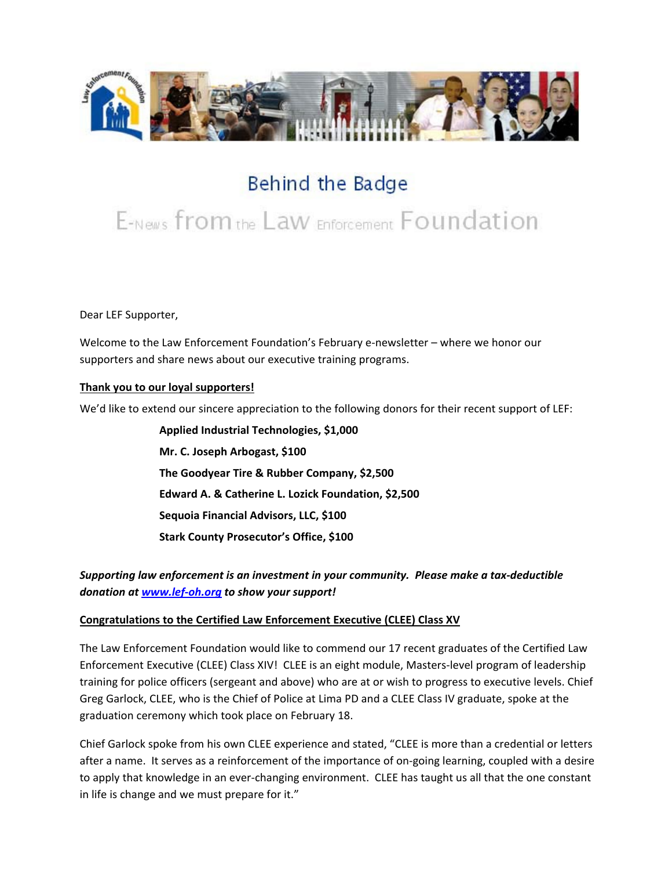

## Behind the Badge

# E-News from the Law Enforcement Foundation

Dear LEF Supporter,

Welcome to the Law Enforcement Foundation's February e-newsletter – where we honor our supporters and share news about our executive training programs.

### **Thank you to our loyal supporters!**

We'd like to extend our sincere appreciation to the following donors for their recent support of LEF:

**Applied Industrial Technologies, \$1,000 Mr. C. Joseph Arbogast, \$100 The Goodyear Tire & Rubber Company, \$2,500 Edward A. & Catherine L. Lozick Foundation, \$2,500 Sequoia Financial Advisors, LLC, \$100 Stark County Prosecutor's Office, \$100**

*Supporting law enforcement is an investment in your community. Please make a tax-deductible donation a[t www.lef-oh.org](http://www.lef-oh.org/) to show your support!*

#### **Congratulations to the Certified Law Enforcement Executive (CLEE) Class XV**

The Law Enforcement Foundation would like to commend our 17 recent graduates of the Certified Law Enforcement Executive (CLEE) Class XIV! CLEE is an eight module, Masters-level program of leadership training for police officers (sergeant and above) who are at or wish to progress to executive levels. Chief Greg Garlock, CLEE, who is the Chief of Police at Lima PD and a CLEE Class IV graduate, spoke at the graduation ceremony which took place on February 18.

Chief Garlock spoke from his own CLEE experience and stated, "CLEE is more than a credential or letters after a name. It serves as a reinforcement of the importance of on-going learning, coupled with a desire to apply that knowledge in an ever-changing environment. CLEE has taught us all that the one constant in life is change and we must prepare for it."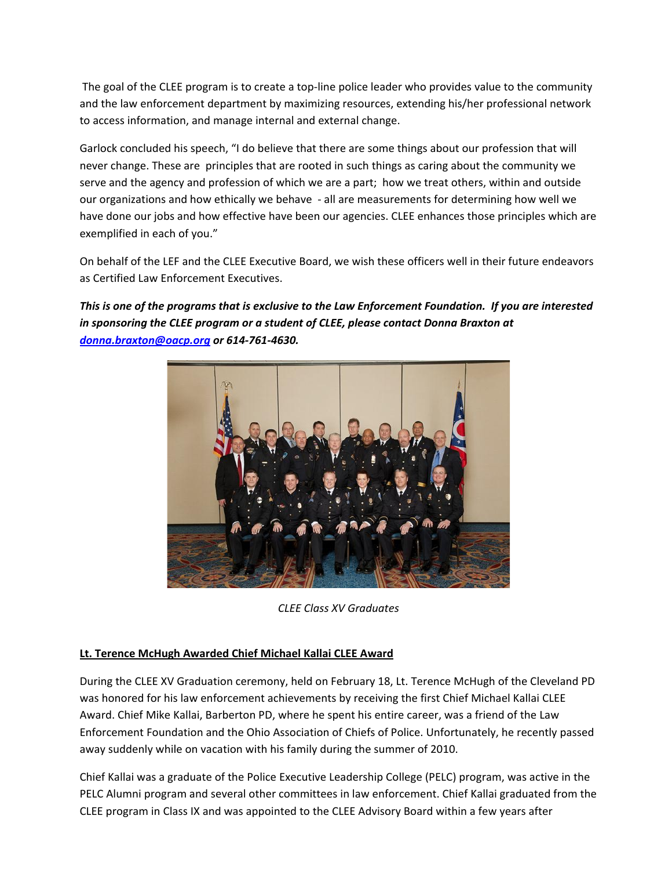The goal of the CLEE program is to create a top-line police leader who provides value to the community and the law enforcement department by maximizing resources, extending his/her professional network to access information, and manage internal and external change.

Garlock concluded his speech, "I do believe that there are some things about our profession that will never change. These are principles that are rooted in such things as caring about the community we serve and the agency and profession of which we are a part; how we treat others, within and outside our organizations and how ethically we behave - all are measurements for determining how well we have done our jobs and how effective have been our agencies. CLEE enhances those principles which are exemplified in each of you."

On behalf of the LEF and the CLEE Executive Board, we wish these officers well in their future endeavors as Certified Law Enforcement Executives.

*This is one of the programs that is exclusive to the Law Enforcement Foundation. If you are interested in sponsoring the CLEE program or a student of CLEE, please contact Donna Braxton at [donna.braxton@oacp.org](mailto:donna.braxton@oacp.org) or 614-761-4630.*



*CLEE Class XV Graduates*

### **Lt. Terence McHugh Awarded Chief Michael Kallai CLEE Award**

During the CLEE XV Graduation ceremony, held on February 18, Lt. Terence McHugh of the Cleveland PD was honored for his law enforcement achievements by receiving the first Chief Michael Kallai CLEE Award. Chief Mike Kallai, Barberton PD, where he spent his entire career, was a friend of the Law Enforcement Foundation and the Ohio Association of Chiefs of Police. Unfortunately, he recently passed away suddenly while on vacation with his family during the summer of 2010.

Chief Kallai was a graduate of the Police Executive Leadership College (PELC) program, was active in the PELC Alumni program and several other committees in law enforcement. Chief Kallai graduated from the CLEE program in Class IX and was appointed to the CLEE Advisory Board within a few years after